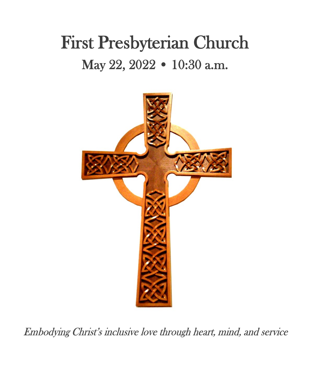# First Presbyterian Church May 22, 2022 • 10:30 a.m.



Embodying Christ's inclusive love through heart, mind, and service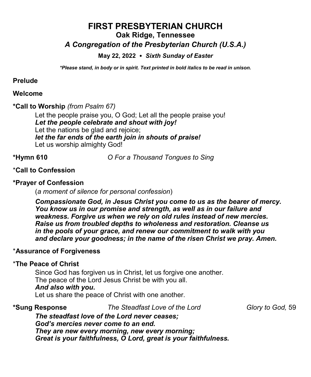# **FIRST PRESBYTERIAN CHURCH Oak Ridge, Tennessee**

# *A Congregation of the Presbyterian Church (U.S.A.)*

#### **May 22, 2022** *Sixth Sunday of Easter*

*\*Please stand, in body or in spirit. Text printed in bold italics to be read in unison.*

#### **Prelude**

#### **Welcome**

### **\*Call to Worship** *(from Psalm 67)*

Let the people praise you, O God; Let all the people praise you! *Let the people celebrate and shout with joy!* Let the nations be glad and rejoice; *let the far ends of the earth join in shouts of praise!* Let us worship almighty God!

**\*Hymn 610** *O For a Thousand Tongues to Sing* 

# \***Call to Confession**

# **\*Prayer of Confession**

(*a moment of silence for personal confession*)

*Compassionate God, in Jesus Christ you come to us as the bearer of mercy. You know us in our promise and strength, as well as in our failure and weakness. Forgive us when we rely on old rules instead of new mercies. Raise us from troubled depths to wholeness and restoration. Cleanse us in the pools of your grace, and renew our commitment to walk with you and declare your goodness; in the name of the risen Christ we pray. Amen.*

# \***Assurance of Forgiveness**

#### \***The Peace of Christ**

Since God has forgiven us in Christ, let us forgive one another. The peace of the Lord Jesus Christ be with you all. *And also with you***.** Let us share the peace of Christ with one another.

**\*Sung Response** *The Steadfast Love of the Lord Glory to God,* 59

*The steadfast love of the Lord never ceases; God's mercies never come to an end. They are new every morning, new every morning; Great is your faithfulness, O Lord, great is your faithfulness.*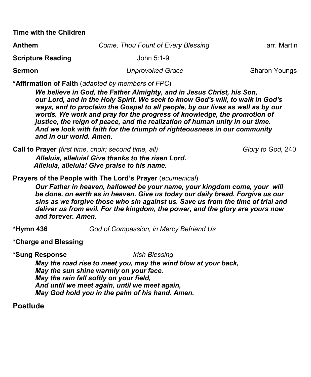**Time with the Children**

| <b>Anthem</b>            | Come, Thou Fount of Every Blessing | arr. Martin |
|--------------------------|------------------------------------|-------------|
| <b>Scripture Reading</b> | John 5:1-9                         |             |

**Sermon** *Unprovoked Grace Sharon Youngs* 

**\*Affirmation of Faith** (*adapted by members of FPC*)

*We believe in God, the Father Almighty, and in Jesus Christ, his Son, our Lord, and in the Holy Spirit. We seek to know God's will, to walk in God's ways, and to proclaim the Gospel to all people, by our lives as well as by our words. We work and pray for the progress of knowledge, the promotion of justice, the reign of peace, and the realization of human unity in our time. And we look with faith for the triumph of righteousness in our community and in our world. Amen.*

**Call to Prayer** *(first time, choir; second time, all)* Glory **Glory** *Glory to God, 240 Alleluia, alleluia! Give thanks to the risen Lord. Alleluia, alleluia! Give praise to his name.*

**Prayers of the People with The Lord's Prayer** (*ecumenical*)

*Our Father in heaven, hallowed be your name, your kingdom come, your will be done, on earth as in heaven. Give us today our daily bread. Forgive us our sins as we forgive those who sin against us. Save us from the time of trial and deliver us from evil. For the kingdom, the power, and the glory are yours now and forever. Amen.*

**\*Hymn 436** *God of Compassion, in Mercy Befriend Us*

**\*Charge and Blessing**

**\*Sung Response** *Irish Blessing* 

*May the road rise to meet you, may the wind blow at your back, May the sun shine warmly on your face. May the rain fall softly on your field, And until we meet again, until we meet again, May God hold you in the palm of his hand. Amen.*

**Postlude**